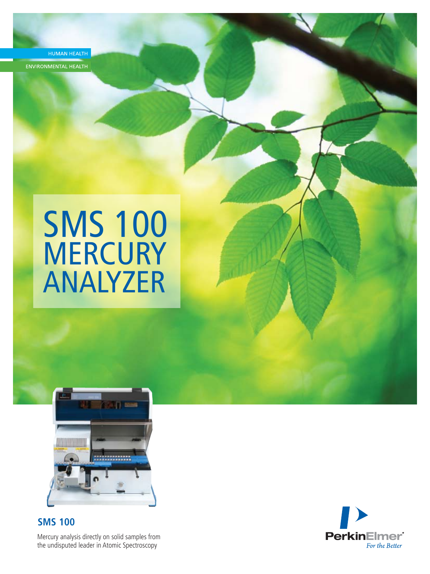HUMAN HEALTH

ENVIRONMENTAL HEALTH

# SMS 100 MERCURY ANALYZER



Mercury analysis directly on solid samples from the undisputed leader in Atomic Spectroscopy **SMS 100**

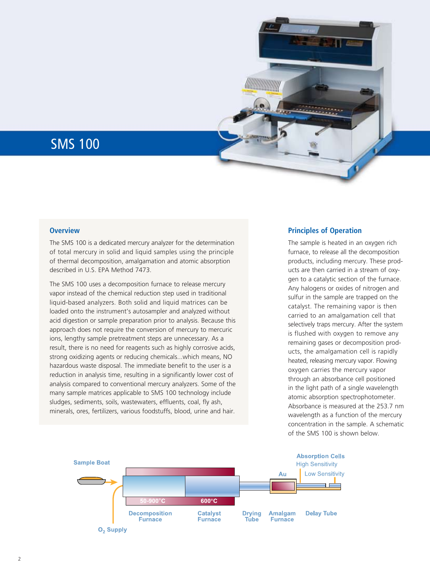# SMS 100

# **Overview**

The SMS 100 is a dedicated mercury analyzer for the determination of total mercury in solid and liquid samples using the principle of thermal decomposition, amalgamation and atomic absorption described in U.S. EPA Method 7473.

The SMS 100 uses a decomposition furnace to release mercury vapor instead of the chemical reduction step used in traditional liquid-based analyzers. Both solid and liquid matrices can be loaded onto the instrument's autosampler and analyzed without acid digestion or sample preparation prior to analysis. Because this approach does not require the conversion of mercury to mercuric ions, lengthy sample pretreatment steps are unnecessary. As a result, there is no need for reagents such as highly corrosive acids, strong oxidizing agents or reducing chemicals...which means, NO hazardous waste disposal. The immediate benefit to the user is a reduction in analysis time, resulting in a significantly lower cost of analysis compared to conventional mercury analyzers. Some of the many sample matrices applicable to SMS 100 technology include sludges, sediments, soils, wastewaters, effluents, coal, fly ash, minerals, ores, fertilizers, various foodstuffs, blood, urine and hair.

# **Principles of Operation**

<u>WWW.WWW.WWW.</u>

The sample is heated in an oxygen rich furnace, to release all the decomposition products, including mercury. These products are then carried in a stream of oxygen to a catalytic section of the furnace. Any halogens or oxides of nitrogen and sulfur in the sample are trapped on the catalyst. The remaining vapor is then carried to an amalgamation cell that selectively traps mercury. After the system is flushed with oxygen to remove any remaining gases or decomposition products, the amalgamation cell is rapidly heated, releasing mercury vapor. Flowing oxygen carries the mercury vapor through an absorbance cell positioned in the light path of a single wavelength atomic absorption spectrophotometer. Absorbance is measured at the 253.7 nm wavelength as a function of the mercury concentration in the sample. A schematic of the SMS 100 is shown below.

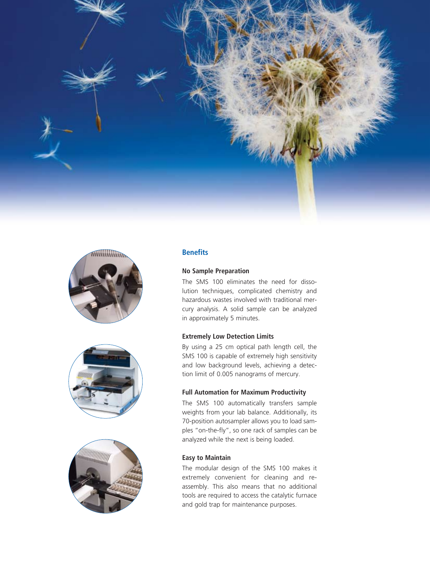







# **Benefits**

# **No Sample Preparation**

The SMS 100 eliminates the need for dissolution techniques, complicated chemistry and hazardous wastes involved with traditional mercury analysis. A solid sample can be analyzed in approximately 5 minutes.

# **Extremely Low Detection Limits**

By using a 25 cm optical path length cell, the SMS 100 is capable of extremely high sensitivity and low background levels, achieving a detection limit of 0.005 nanograms of mercury.

# **Full Automation for Maximum Productivity**

The SMS 100 automatically transfers sample weights from your lab balance. Additionally, its 70-position autosampler allows you to load samples "on-the-fly", so one rack of samples can be analyzed while the next is being loaded.

# **Easy to Maintain**

The modular design of the SMS 100 makes it extremely convenient for cleaning and reassembly. This also means that no additional tools are required to access the catalytic furnace and gold trap for maintenance purposes.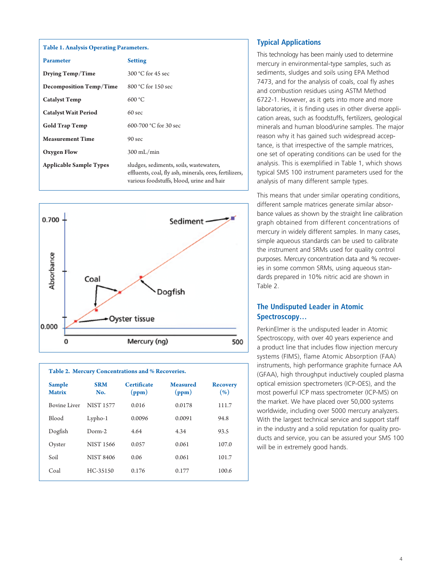| <b>Table 1. Analysis Operating Parameters.</b> |                                                                                                                                                |  |
|------------------------------------------------|------------------------------------------------------------------------------------------------------------------------------------------------|--|
| <b>Parameter</b>                               | <b>Setting</b>                                                                                                                                 |  |
| Drying Temp/Time                               | 300 °C for 45 sec                                                                                                                              |  |
| <b>Decomposition Temp/Time</b>                 | $800 °C$ for 150 sec                                                                                                                           |  |
| <b>Catalyst Temp</b>                           | 600 °C                                                                                                                                         |  |
| <b>Catalyst Wait Period</b>                    | $60$ sec                                                                                                                                       |  |
| <b>Gold Trap Temp</b>                          | 600-700 °C for 30 sec                                                                                                                          |  |
| <b>Measurement Time</b>                        | 90 sec                                                                                                                                         |  |
| Oxygen Flow                                    | $300$ mL/min                                                                                                                                   |  |
| <b>Applicable Sample Types</b>                 | sludges, sediments, soils, wastewaters,<br>effluents, coal, fly ash, minerals, ores, fertilizers,<br>various foodstuffs, blood, urine and hair |  |



| <b>Sample</b><br><b>Matrix</b> | <b>SRM</b><br>No. | <b>Certificate</b><br>(ppm) | <b>Measured</b><br>(ppm) | <b>Recovery</b><br>(% ) |
|--------------------------------|-------------------|-----------------------------|--------------------------|-------------------------|
| Bovine Liver                   | <b>NIST 1577</b>  | 0.016                       | 0.0178                   | 111.7                   |
| <b>Blood</b>                   | $Lypho-1$         | 0.0096                      | 0.0091                   | 94.8                    |
| Dogfish                        | $Dorm-2$          | 4.64                        | 4.34                     | 93.5                    |
| Oyster                         | <b>NIST 1566</b>  | 0.057                       | 0.061                    | 107.0                   |
| Soil                           | <b>NIST 8406</b>  | 0.06                        | 0.061                    | 101.7                   |
| Coal                           | HC-35150          | 0.176                       | 0.177                    | 100.6                   |
|                                |                   |                             |                          |                         |

# **Typical Applications**

This technology has been mainly used to determine mercury in environmental-type samples, such as sediments, sludges and soils using EPA Method 7473, and for the analysis of coals, coal fly ashes and combustion residues using ASTM Method 6722-1. However, as it gets into more and more laboratories, it is finding uses in other diverse application areas, such as foodstuffs, fertilizers, geological minerals and human blood/urine samples. The major reason why it has gained such widespread acceptance, is that irrespective of the sample matrices, one set of operating conditions can be used for the analysis. This is exemplified in Table 1, which shows typical SMS 100 instrument parameters used for the analysis of many different sample types.

This means that under similar operating conditions, different sample matrices generate similar absorbance values as shown by the straight line calibration graph obtained from different concentrations of mercury in widely different samples. In many cases, simple aqueous standards can be used to calibrate the instrument and SRMs used for quality control purposes. Mercury concentration data and % recoveries in some common SRMs, using aqueous standards prepared in 10% nitric acid are shown in Table 2.

# **The Undisputed Leader in Atomic Spectroscopy…**

PerkinElmer is the undisputed leader in Atomic Spectroscopy, with over 40 years experience and a product line that includes flow injection mercury systems (FIMS), flame Atomic Absorption (FAA) instruments, high performance graphite furnace AA (GFAA), high throughput inductively coupled plasma optical emission spectrometers (ICP-OES), and the most powerful ICP mass spectrometer (ICP-MS) on the market. We have placed over 50,000 systems worldwide, including over 5000 mercury analyzers. With the largest technical service and support staff in the industry and a solid reputation for quality products and service, you can be assured your SMS 100 will be in extremely good hands.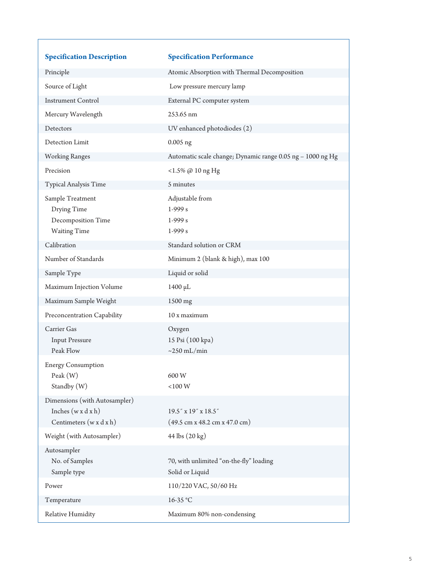| <b>Specification Description</b>          | <b>Specification Performance</b>                                  |
|-------------------------------------------|-------------------------------------------------------------------|
| Principle                                 | Atomic Absorption with Thermal Decomposition                      |
| Source of Light                           | Low pressure mercury lamp                                         |
| <b>Instrument Control</b>                 | External PC computer system                                       |
| Mercury Wavelength                        | 253.65 nm                                                         |
| Detectors                                 | UV enhanced photodiodes (2)                                       |
| Detection Limit                           | $0.005$ ng                                                        |
| <b>Working Ranges</b>                     | Automatic scale change; Dynamic range 0.05 ng - 1000 ng Hg        |
| Precision                                 | <1.5% @ 10 ng Hg                                                  |
| Typical Analysis Time                     | 5 minutes                                                         |
| Sample Treatment                          | Adjustable from                                                   |
| Drying Time                               | $1-999 s$                                                         |
| Decomposition Time<br><b>Waiting Time</b> | $1-999s$<br>$1-999 s$                                             |
| Calibration                               |                                                                   |
|                                           | Standard solution or CRM                                          |
| Number of Standards                       | Minimum 2 (blank & high), max 100                                 |
| Sample Type                               | Liquid or solid                                                   |
| Maximum Injection Volume                  | 1400 µL                                                           |
| Maximum Sample Weight                     | 1500 mg                                                           |
| Preconcentration Capability               | 10 x maximum                                                      |
| Carrier Gas                               | Oxygen                                                            |
| <b>Input Pressure</b><br>Peak Flow        | 15 Psi (100 kpa)<br>$\sim$ 250 mL/min                             |
| <b>Energy Consumption</b>                 |                                                                   |
| Peak(W)                                   | 600W                                                              |
| Standby (W)                               | $<\!\!100\,\mathrm{W}$                                            |
| Dimensions (with Autosampler)             |                                                                   |
| Inches $(w \times d \times h)$            | $19.5$ " x $19$ " x $18.5$ "                                      |
| Centimeters $(w \times d \times h)$       | $(49.5 \text{ cm} \times 48.2 \text{ cm} \times 47.0 \text{ cm})$ |
| Weight (with Autosampler)                 | 44 lbs (20 kg)                                                    |
| Autosampler                               |                                                                   |
| No. of Samples                            | 70, with unlimited "on-the-fly" loading                           |
| Sample type                               | Solid or Liquid                                                   |
| Power                                     | 110/220 VAC, 50/60 Hz                                             |
| Temperature                               | 16-35 °C                                                          |
| Relative Humidity                         | Maximum 80% non-condensing                                        |